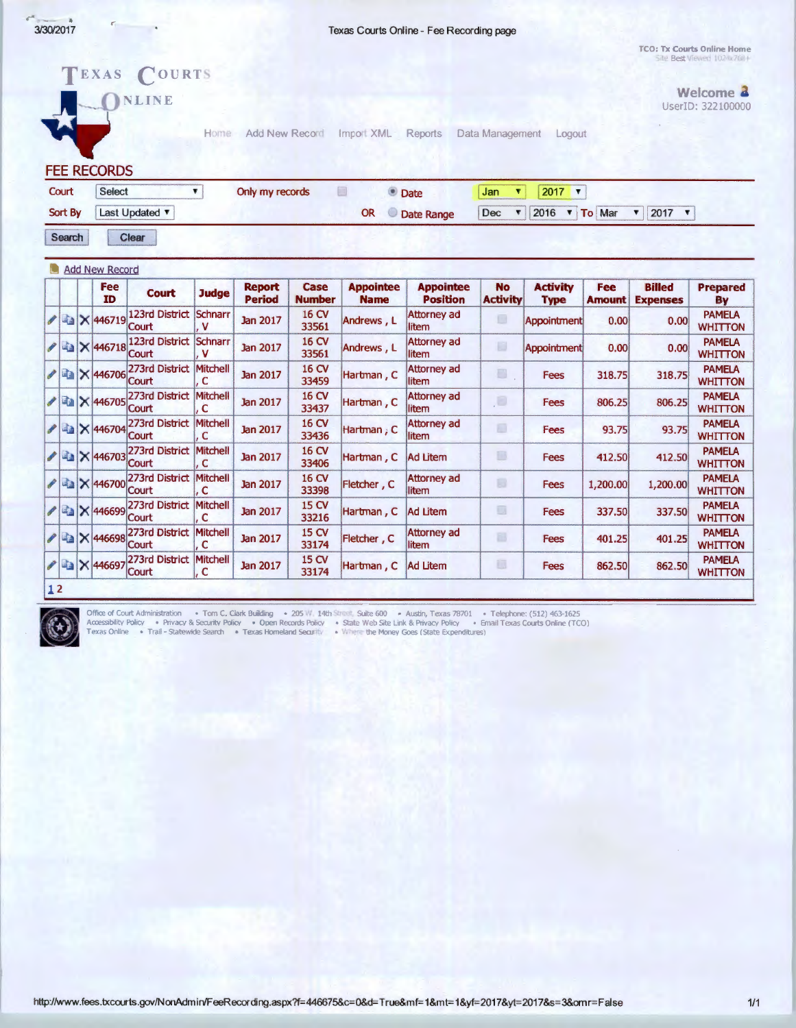Texas Courts Online - Fee Recording page

TCO: Tx Courts Online Home Site Best Viewer/ 102-6/768+

> Welcome 2 UserID: 322100000



|  | Fee<br>ID                     | <b>Court</b>                   | <b>Judge</b>         | <b>Report</b><br><b>Period</b> | Case<br><b>Number</b> | <b>Appointee</b><br><b>Name</b> | <b>Appointee</b><br><b>Position</b> | <b>No</b><br><b>Activity</b> | <b>Activity</b><br><b>Type</b> | <b>Fee</b><br><b>Amount</b> | <b>Billed</b><br><b>Expenses</b> | <b>Prepared</b><br>By           |
|--|-------------------------------|--------------------------------|----------------------|--------------------------------|-----------------------|---------------------------------|-------------------------------------|------------------------------|--------------------------------|-----------------------------|----------------------------------|---------------------------------|
|  | $13$ $\times$ 446719          | <b>123rd District</b><br>Court | Schnarr<br>v         | <b>Jan 2017</b>                | 16 CV<br>33561        | Andrews, L                      | Attorney ad<br>litem                | o                            | <b>Appointment</b>             | 0.00                        | 0.00                             | <b>PAMELA</b><br><b>WHITTON</b> |
|  | 2446718                       | 123rd District<br>Court        | <b>Schnarr</b><br>۷  | <b>Jan 2017</b>                | 16 CV<br>33561        | Andrews, L                      | Attorney ad<br>litem                | B                            | Appointment                    | 0.00                        | 0.00                             | <b>PAMELA</b><br><b>WHITTON</b> |
|  | $\frac{1}{2}$ $\times$ 446706 | 273rd District<br>Court        | <b>Mitchell</b><br>c | <b>Jan 2017</b>                | 16 CV<br>33459        | Hartman, C                      | Attorney ad<br>litem                | ■                            | Fees                           | 318.75                      | 318.75                           | <b>PAMELA</b><br><b>WHITTON</b> |
|  | ● 图 × 446705                  | 273rd District<br><b>Court</b> | <b>Mitchell</b><br>c | <b>Jan 2017</b>                | 16 CV<br>33437        | Hartman, C                      | Attorney ad<br>litem                | ,C                           | Fees                           | 806.25                      | 806.25                           | <b>PAMELA</b><br><b>WHITTON</b> |
|  | X 446704                      | 273rd District<br>Court        | <b>Mitchell</b><br>c | <b>Jan 2017</b>                | 16 CV<br>33436        | Hartman, $C$                    | Attorney ad<br>litem                | Đ                            | Fees                           | 93.75                       | 93.75                            | <b>PAMELA</b><br><b>WHITTON</b> |
|  | $222$ $\times 446703$         | 273rd District<br>Court        | <b>Mitchell</b><br>c | <b>Jan 2017</b>                | 16 CV<br>33406        | Hartman, C                      | Ad Litem                            | B                            | <b>Fees</b>                    | 412.50                      | 412.50                           | <b>PAMELA</b><br><b>WHITTON</b> |
|  | A 2 X 446700                  | 273rd District<br>Court        | <b>Mitchell</b><br>C | <b>Jan 2017</b>                | 16 CV<br>33398        | Fletcher, C                     | Attorney ad<br>litem                | ø                            | Fees                           | 1,200.00                    | 1,200.00                         | <b>PAMELA</b><br><b>WHITTON</b> |
|  | <b>/ € × 446699</b>           | 273rd District<br>Court        | <b>Mitchell</b><br>c | <b>Jan 2017</b>                | 15 CV<br>33216        | Hartman, C                      | Ad Litem                            | o                            | Fees                           | 337.50                      | 337.50                           | <b>PAMELA</b><br><b>WHITTON</b> |
|  | $22$ $\times 446698$          | 273rd District<br>Court        | <b>Mitchell</b><br>C | <b>Jan 2017</b>                | 15 CV<br>33174        | Fletcher, C                     | Attorney ad<br>litem                | 83                           | <b>Fees</b>                    | 401.25                      | 401.25                           | <b>PAMELA</b><br><b>WHITTON</b> |
|  | / a X 446697                  | 273rd District<br>Court        | Mitchell<br>c        | <b>Jan 2017</b>                | 15 CV<br>33174        | Hartman, C                      | <b>Ad Litem</b>                     | ū                            | Fees                           | 862.50                      | 862.50                           | <b>PAMELA</b><br><b>WHITTON</b> |



Office of Court Administration • Tom C. Clark Building • 205 W, 14th Street, Suite 600 • Austin, Texas 78701 • Telephone: (512) 463-1625<br>Accessibility Policy • Privacy & Security Policy • Open Records Policy • State Web Si